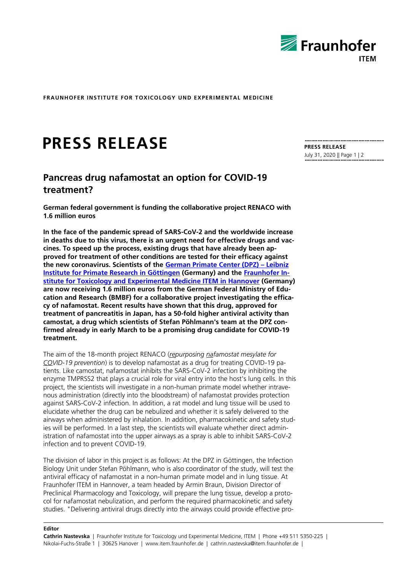

**FRAUNHOFER INSTITUTE FOR TOXICOLOGY UND EXPERIMENTAL MEDICINE**

# **PRESS RELEASE**

## **Pancreas drug nafamostat an option for COVID-19 treatment?**

**German federal government is funding the collaborative project RENACO with 1.6 million euros**

**In the face of the pandemic spread of SARS-CoV-2 and the worldwide increase in deaths due to this virus, there is an urgent need for effective drugs and vaccines. To speed up the process, existing drugs that have already been approved for treatment of other conditions are tested for their efficacy against the new coronavirus. Scientists of the [German Primate Center \(DPZ\)](https://www.dpz.eu/en/home.html) – Leibniz [Institute for Primate Research in Göttingen](https://www.dpz.eu/en/home.html) (Germany) and the [Fraunhofer In](https://www.item.fraunhofer.de/en.html)[stitute for Toxicology and Experimental Medicine ITEM in Hannover](https://www.item.fraunhofer.de/en.html) (Germany) are now receiving 1.6 million euros from the German Federal Ministry of Education and Research (BMBF) for a collaborative project investigating the efficacy of nafamostat. Recent results have shown that this drug, approved for treatment of pancreatitis in Japan, has a 50-fold higher antiviral activity than camostat, a drug which scientists of Stefan Pöhlmann's team at the DPZ confirmed already in early March to be a promising drug candidate for COVID-19 treatment.**

The aim of the 18-month project RENACO (*repurposing nafamostat mesylate for COVID-19 prevention*) is to develop nafamostat as a drug for treating COVID-19 patients. Like camostat, nafamostat inhibits the SARS-CoV-2 infection by inhibiting the enzyme TMPRSS2 that plays a crucial role for viral entry into the host's lung cells. In this project, the scientists will investigate in a non-human primate model whether intravenous administration (directly into the bloodstream) of nafamostat provides protection against SARS-CoV-2 infection. In addition, a rat model and lung tissue will be used to elucidate whether the drug can be nebulized and whether it is safely delivered to the airways when administered by inhalation. In addition, pharmacokinetic and safety studies will be performed. In a last step, the scientists will evaluate whether direct administration of nafamostat into the upper airways as a spray is able to inhibit SARS-CoV-2 infection and to prevent COVID-19.

The division of labor in this project is as follows: At the DPZ in Göttingen, the Infection Biology Unit under Stefan Pöhlmann, who is also coordinator of the study, will test the antiviral efficacy of nafamostat in a non-human primate model and in lung tissue. At Fraunhofer ITEM in Hannover, a team headed by Armin Braun, Division Director of Preclinical Pharmacology and Toxicology, will prepare the lung tissue, develop a protocol for nafamostat nebulization, and perform the required pharmacokinetic and safety studies. "Delivering antiviral drugs directly into the airways could provide effective pro**PRESS RELEASE** July 31, 2020 || Page 1 | 2

#### **Editor**